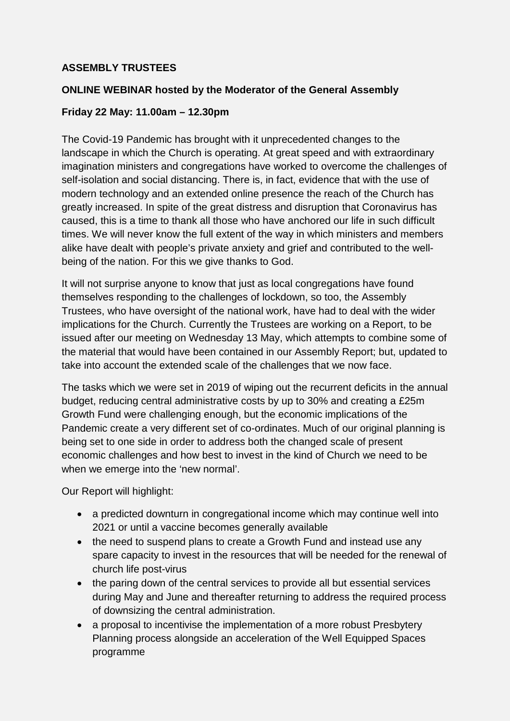## **ASSEMBLY TRUSTEES**

## **ONLINE WEBINAR hosted by the Moderator of the General Assembly**

## **Friday 22 May: 11.00am – 12.30pm**

The Covid-19 Pandemic has brought with it unprecedented changes to the landscape in which the Church is operating. At great speed and with extraordinary imagination ministers and congregations have worked to overcome the challenges of self-isolation and social distancing. There is, in fact, evidence that with the use of modern technology and an extended online presence the reach of the Church has greatly increased. In spite of the great distress and disruption that Coronavirus has caused, this is a time to thank all those who have anchored our life in such difficult times. We will never know the full extent of the way in which ministers and members alike have dealt with people's private anxiety and grief and contributed to the wellbeing of the nation. For this we give thanks to God.

It will not surprise anyone to know that just as local congregations have found themselves responding to the challenges of lockdown, so too, the Assembly Trustees, who have oversight of the national work, have had to deal with the wider implications for the Church. Currently the Trustees are working on a Report, to be issued after our meeting on Wednesday 13 May, which attempts to combine some of the material that would have been contained in our Assembly Report; but, updated to take into account the extended scale of the challenges that we now face.

The tasks which we were set in 2019 of wiping out the recurrent deficits in the annual budget, reducing central administrative costs by up to 30% and creating a £25m Growth Fund were challenging enough, but the economic implications of the Pandemic create a very different set of co-ordinates. Much of our original planning is being set to one side in order to address both the changed scale of present economic challenges and how best to invest in the kind of Church we need to be when we emerge into the 'new normal'.

Our Report will highlight:

- a predicted downturn in congregational income which may continue well into 2021 or until a vaccine becomes generally available
- the need to suspend plans to create a Growth Fund and instead use any spare capacity to invest in the resources that will be needed for the renewal of church life post-virus
- the paring down of the central services to provide all but essential services during May and June and thereafter returning to address the required process of downsizing the central administration.
- a proposal to incentivise the implementation of a more robust Presbytery Planning process alongside an acceleration of the Well Equipped Spaces programme